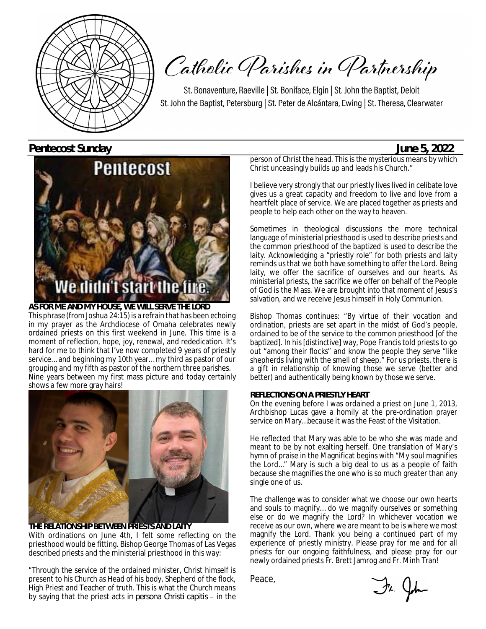

Catholic Parishes in Partnership

St. Bonaventure, Raeville | St. Boniface, Elgin | St. John the Baptist, Deloit St. John the Baptist, Petersburg | St. Peter de Alcántara, Ewing | St. Theresa, Clearwater

**Pentecost Sunday June 5, 2022**



**AS FOR ME AND MY HOUSE, WE WILL SERVE THE LORD** This phrase (from Joshua 24:15) is a refrain that has been echoing in my prayer as the Archdiocese of Omaha celebrates newly ordained priests on this first weekend in June. This time is a moment of reflection, hope, joy, renewal, and rededication. It's hard for me to think that I've now completed 9 years of priestly service… and beginning my 10th year… my third as pastor of our grouping and my fifth as pastor of the northern three parishes. Nine years between my first mass picture and today certainly shows a few more gray hairs!



**THE RELATIONSHIP BETWEEN PRIESTS AND LAITY** With ordinations on June 4th, I felt some reflecting on the priesthood would be fitting. Bishop George Thomas of Las Vegas described priests and the ministerial priesthood in this way:

"Through the service of the ordained minister, Christ himself is present to his Church as Head of his body, Shepherd of the flock, High Priest and Teacher of truth. This is what the Church means by saying that the priest acts *in persona Christi capitis* – in the

person of Christ the head. This is the mysterious means by which Christ unceasingly builds up and leads his Church."

I believe very strongly that our priestly lives lived in celibate love gives us a great capacity and freedom to live and love from a heartfelt place of service. We are placed together as priests and people to help each other on the way to heaven.

Sometimes in theological discussions the more technical language of ministerial priesthood is used to describe priests and the common priesthood of the baptized is used to describe the laity. Acknowledging a "priestly role" for both priests and laity reminds us that we both have something to offer the Lord. Being laity, we offer the sacrifice of ourselves and our hearts. As ministerial priests, the sacrifice we offer on behalf of the People of God is the Mass. We are brought into that moment of Jesus's salvation, and we receive Jesus himself in Holy Communion.

Bishop Thomas continues: "By virtue of their vocation and ordination, priests are set apart in the midst of God's people, ordained to be of the service to the common priesthood [of the baptized]. In his [distinctive] way, Pope Francis told priests to go out "among their flocks" and know the people they serve "like shepherds living with the smell of sheep." For us priests, there is a gift in relationship of knowing those we serve (better and better) and authentically being known by those we serve.

#### **REFLECTIONS ON A PRIESTLY HEART**

On the evening before I was ordained a priest on June 1, 2013, Archbishop Lucas gave a homily at the pre-ordination prayer service on Mary…because it was the Feast of the Visitation.

He reflected that Mary was able to be who she was made and meant to be by not exalting herself. One translation of Mary's hymn of praise in the Magnificat begins with "My soul magnifies the Lord…" Mary is such a big deal to us as a people of faith because she magnifies the one who is so much greater than any single one of us.

The challenge was to consider what we choose our own hearts and souls to magnify… do we magnify ourselves or something else or do we magnify the Lord? In whichever vocation we receive as our own, where we are meant to be is where we most magnify the Lord. Thank you being a continued part of my experience of priestly ministry. Please pray for me and for all priests for our ongoing faithfulness, and please pray for our newly ordained priests Fr. Brett Jamrog and Fr. Minh Tran!

Peace,

Fr. John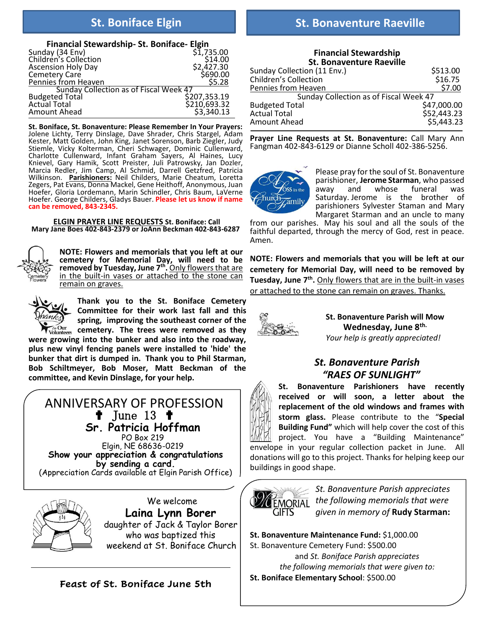| Financial Stewardship-St. Boniface-Elgin |                           |
|------------------------------------------|---------------------------|
| Sunday (34 Env)<br>Children's Collection | \$1,735.00                |
|                                          | \$14.00                   |
| <b>Ascension Holy Day</b>                | \$2,427.30<br>\$690.00    |
| Cemetery Care                            |                           |
| Pennies from Heaven                      | \$5.28                    |
| Sunday Collection as of Fiscal Week 47   |                           |
| <b>Budgeted Total</b>                    | \$207,353.19              |
| <b>Actual Total</b>                      | \$210,693.32              |
| Amount Ahead                             | $\overline{53}'$ , 340.13 |

**St. Boniface, St. Bonaventure: Please Remember In Your Prayers:** Jolene Lichty, Terry Dinslage, Dave Shrader, Chris Stargel, Adam Kester, Matt Golden, John King, Janet Sorenson, Barb Ziegler, Judy Stiemle, Vicky Kolterman, Cheri Schwager, Dominic Cullenward, Charlotte Cullenward, Infant Graham Sayers, Al Haines, Lucy Knievel, Gary Hamik, Scott Preister, Juli Patrowsky, Jan Dozler, Marcia Redler, Jim Camp, Al Schmid, Darrell Getzfred, Patricia Wilkinson. **Parishioners:** Neil Childers, Marie Cheatum, Loretta Zegers, Pat Evans, Donna Mackel, Gene Heithoff, Anonymous, Juan Hoefer, Gloria Lordemann, Marin Schindler, Chris Baum, LaVerne Hoefer. George Childers, Gladys Bauer. **Please let us know if name can be removed, 843-2345.** 

**ELGIN PRAYER LINE REQUESTS St. Boniface: Call Mary Jane Boes 402-843-2379 or JoAnn Beckman 402-843-6287** 



**NOTE: Flowers and memorials that you left at our cemetery for Memorial Day, will need to be removed by Tuesday, June 7th .** Only flowers that are in the built-in vases or attached to the stone can remain on graves.

**Thank you to the St. Boniface Cemetery Committee for their work last fall and this spring, improving the southeast corner of the cemetery. The trees were removed as they** 

**were growing into the bunker and also into the roadway, plus new vinyl fencing panels were installed to 'hide' the bunker that dirt is dumped in. Thank you to Phil Starman, Bob Schiltmeyer, Bob Moser, Matt Beckman of the committee, and Kevin Dinslage, for your help.**

 ANNIVERSARY OF PROFESSION ✟ June 13 ✟ **Sr. Patricia Hoffman**  PO Box 219 Elgin, NE 68636-0219 **Show your appreciation & congratulations by sending a card.**  (Appreciation Cards available at Elgin Parish Office)



We welcome **Laina Lynn Borer** daughter of Jack & Taylor Borer who was baptized this weekend at St. Boniface Church

#### **Feast of St. Boniface June 5th**

## **St. Boniface Elgin St. Bonaventure Raeville**

**Financial Stewardship St. Bonaventure Raeville** Sunday Collection (11 Env.)<br>Children's Collection (11 September 16, 16.75) Children's Collection Pennies from Heaven **buying the ST.00**  Sunday Collection as of Fiscal Week 47 Budgeted Total<br>Actual Total \$52,443.23<br>\$5,443.23 Amount Ahead

**Prayer Line Requests at St. Bonaventure:** Call Mary Ann Fangman 402-843-6129 or Dianne Scholl 402-386-5256.



Please pray for the soul of St. Bonaventure parishioner, **Jerome Starman**, who passed away and whose funeral was Saturday. Jerome is the brother of parishioners Sylvester Staman and Mary Margaret Starman and an uncle to many

from our parishes. May his soul and all the souls of the faithful departed, through the mercy of God, rest in peace. Amen.

**NOTE: Flowers and memorials that you will be left at our cemetery for Memorial Day, will need to be removed by Tuesday, June 7th .** Only flowers that are in the built-in vases or attached to the stone can remain on graves. Thanks.



**St. Bonaventure Parish will Mow Wednesday, June 8th.**  *Your help is greatly appreciated!*

### *St. Bonaventure Parish "RAES OF SUNLIGHT"*

**St. Bonaventure Parishioners have recently received or will soon, a letter about the replacement of the old windows and frames with storm glass.** Please contribute to the "**Special Building Fund"** which will help cover the cost of this project. You have a "Building Maintenance" envelope in your regular collection packet in June. All donations will go to this project. Thanks for helping keep our buildings in good shape.



*St. Bonaventure Parish appreciates the following memorials that were given in memory of* **Rudy Starman:**

**St. Bonaventure Maintenance Fund:** \$1,000.00 St. Bonaventure Cemetery Fund: \$500.00 and *St. Boniface Parish appreciates the following memorials that were given to:* **St. Boniface Elementary School**: \$500.00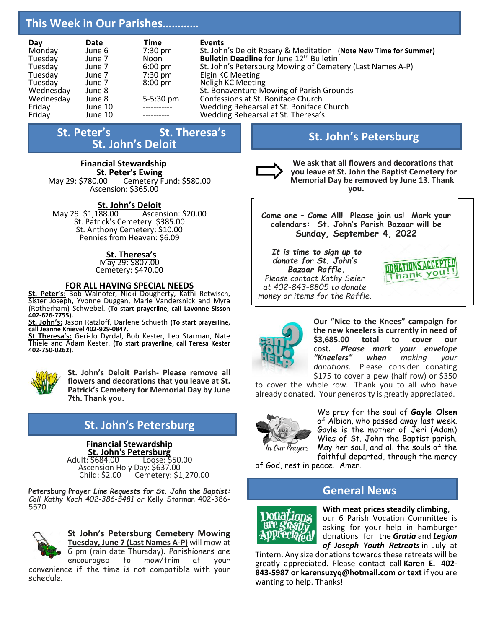## **This Week in Our Parishes…………**

| <b>Day</b> | Date    | <b>Time</b>       | Events                                                           |
|------------|---------|-------------------|------------------------------------------------------------------|
| Monday     | June 6  | 7:30 pm           | St. John's Deloit Rosary & Meditation (Note New Time for Summer) |
| Tuesday    | June 7  | <b>Noon</b>       | <b>Bulletin Deadline</b> for June 12 <sup>th</sup> Bulletin      |
| Tuesday    | June 7  | $6:00 \text{ pm}$ | St. John's Petersburg Mowing of Cemetery (Last Names A-P)        |
| Tuesday    | June 7  | $7:30 \text{ pm}$ | Elgin KC Meeting                                                 |
| Tuesday    | June 7  | $8:00 \text{ pm}$ | Neligh KC Meeting                                                |
| Wednesday  | June 8  |                   | St. Bonaventure Mowing of Parish Grounds                         |
| Wednesday  | June 8  | 5-5:30 pm         | Confessions at St. Boniface Church                               |
| Friday     | June 10 |                   | Wedding Rehearsal at St. Boniface Church                         |
| Friday     | June 10 |                   | Wedding Rehearsal at St. Theresa's                               |

## **St. Peter's** St. Theresa's **St. John's Deloit**

### **Financial Stewardship St. Peter's Ewing**<br>May 29: \$780.00 Cemetery F

Cemetery Fund: \$580.00 Ascension: \$365.00

#### **St. John's Deloit**

May 29: \$1,188.00 Ascension: \$20.00 St. Patrick's Cemetery: \$385.00 St. Anthony Cemetery: \$10.00 Pennies from Heaven: \$6.09

#### **St. Theresa's**

May 29: \$807.00 Cemetery: \$470.00

#### **FOR ALL HAVING SPECIAL NEEDS**

**St. Peter's**: Bob Walnofer, Nicki Dougherty, Kathi Retwisch, Sister Joseph, Yvonne Duggan, Marie Vandersnick and Myra (Rotherham) Schwebel. **(To start prayerline, call Lavonne Sisson 402-626-7755).**

**St. John's:** Jason Ratzloff, Darlene Schueth **(To start prayerline, call Jeanne Knievel 402-929-0847.**

**St Theresa's:** Geri-Jo Dyrdal, Bob Kester, Leo Starman, Nate Thiele and Adam Kester. **(To start prayerline, call Teresa Kester 402-750-0262).**



**St. John's Deloit Parish- Please remove all flowers and decorations that you leave at St. Patrick's Cemetery for Memorial Day by June 7th. Thank you.**

## **St. John's Petersburg**

# **Financial Stewardship**

**St. John's Petersburg**<br>
Adult: \$684.00 Loose: \$ Loose: \$50.00 Ascension Holy Day: \$637.00<br>Child: \$2.00 Cemetery: \$1 Cemetery: \$1,270.00

**Petersburg Prayer** *Line Requests for St. John the Baptist: Call Kathy Koch 402-386-5481 or* Kelly Starman 402-386- 5570.



**St John's Petersburg Cemetery Mowing Tuesday, June 7 (Last Names A-P)** will mow at

6 pm (rain date Thursday). Parishioners are encouraged to mow/trim at your convenience if the time is not compatible with your schedule.

## **St. John's Petersburg**



**We ask that all flowers and decorations that you leave at St. John the Baptist Cemetery for Memorial Day be removed by June 13. Thank you.**

**Come one – Come All! Please join us! Mark your calendars: St. John's Parish Bazaar will be Sunday, September 4, 2022**

*It is time to sign up to donate for St. John's Bazaar Raffle. Please contact Kathy Seier at 402-843-8805 to donate money or items for the Raffle.*





**Our "Nice to the Knees" campaign for the new kneelers is currently in need of \$3,685.00 total to cover our cost.** *Please mark your envelope "Kneelers" when making your donations.* Please consider donating \$175 to cover a pew (half row) or \$350

to cover the whole row. Thank you to all who have already donated. Your generosity is greatly appreciated.



We pray for the soul of **Gayle Olsen** of Albion, who passed away last week. Gayle is the mother of Jeri (Adam) Wies of St. John the Baptist parish. May her soul, and all the souls of the faithful departed, through the mercy

of God, rest in peace. Amen.

#### **General News**



**With meat prices steadily climbing**, our 6 Parish Vocation Committee is asking for your help in hamburger donations for the *Gratia* and *Legion of Joseph Youth Retreats* in July at

Tintern. Any size donations towards these retreats will be greatly appreciated. Please contact call **Karen E. 402- 843-5987 or karensuzyq@hotmail.com or text** if you are wanting to help. Thanks!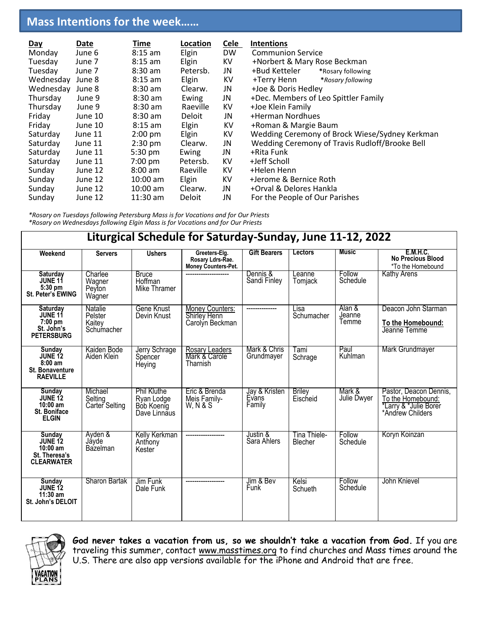## **Mass Intentions for the week……**

| <b>Day</b> | Date    | Time              | Location      | <b>Cele</b> | <b>Intentions</b>                              |
|------------|---------|-------------------|---------------|-------------|------------------------------------------------|
| Monday     | June 6  | $8:15$ am         | Elgin         | <b>DW</b>   | <b>Communion Service</b>                       |
| Tuesday    | June 7  | $8:15$ am         | Elgin         | KV          | +Norbert & Mary Rose Beckman                   |
| Tuesday    | June 7  | $8:30$ am         | Petersb.      | JN          | +Bud Ketteler<br>*Rosary following             |
| Wednesday  | June 8  | $8:15$ am         | Elgin         | KV          | +Terry Henn<br>*Rosary following               |
| Wednesday  | June 8  | $8:30$ am         | Clearw.       | JN          | +Joe & Doris Hedley                            |
| Thursday   | June 9  | $8:30$ am         | Ewing         | JN          | +Dec. Members of Leo Spittler Family           |
| Thursday   | June 9  | $8:30$ am         | Raeville      | KV          | +Joe Klein Family                              |
| Friday     | June 10 | $8:30$ am         | <b>Deloit</b> | JN          | +Herman Nordhues                               |
| Friday     | June 10 | $8:15$ am         | Elgin         | KV          | +Roman & Margie Baum                           |
| Saturday   | June 11 | $2:00$ pm         | Elgin         | KV          | Wedding Ceremony of Brock Wiese/Sydney Kerkman |
| Saturday   | June 11 | $2:30$ pm         | Clearw.       | JN          | Wedding Ceremony of Travis Rudloff/Brooke Bell |
| Saturday   | June 11 | 5:30 pm           | Ewing         | JN          | +Rita Funk                                     |
| Saturday   | June 11 | 7:00 pm           | Petersb.      | KV          | +Jeff Scholl                                   |
| Sunday     | June 12 | $8:00 \text{ am}$ | Raeville      | KV          | +Helen Henn                                    |
| Sunday     | June 12 | $10:00$ am        | Elgin         | ΚV          | +Jerome & Bernice Roth                         |
| Sunday     | June 12 | $10:00$ am        | Clearw.       | JN          | +Orval & Delores Hankla                        |
| Sunday     | June 12 | $11:30$ am        | Deloit        | JN          | For the People of Our Parishes                 |

*\*Rosary on Tuesdays following Petersburg Mass is for Vocations and for Our Priests \*Rosary on Wednesdays following Elgin Mass is for Vocations and for Our Priests*

| Liturgical Schedule for Saturday-Sunday, June 11-12, 2022                     |                                            |                                                                |                                                                 |                                  |                                |                           |                                                                                          |
|-------------------------------------------------------------------------------|--------------------------------------------|----------------------------------------------------------------|-----------------------------------------------------------------|----------------------------------|--------------------------------|---------------------------|------------------------------------------------------------------------------------------|
| Weekend                                                                       | <b>Servers</b>                             | <b>Ushers</b>                                                  | Greeters-Elg.<br>Rosary Ldrs-Rae.<br><b>Money Counters-Pet.</b> | <b>Gift Bearers</b>              | <b>Lectors</b>                 | <b>Music</b>              | E.M.H.C.<br><b>No Precious Blood</b><br>*To the Homebound                                |
| Saturday<br>JUNE 11<br>5:30 pm<br><b>St. Peter's EWING</b>                    | Charlee<br>Wagner<br>Peyton<br>Wagner      | <b>Bruce</b><br>Hoffman<br>Mike Thramer                        |                                                                 | Dennis &<br>Sandi Finley         | Leanne<br>Tomjack              | Follow<br>Schedule        | <b>Kathy Arens</b>                                                                       |
| Saturday<br><b>JUNE 11</b><br>$7:00$ pm<br>St. John's<br><b>PETERSBURG</b>    | Natalie<br>Pelster<br>Kaitey<br>Schumacher | Gene Knust<br>Devin Knust                                      | Money Counters:<br><b>Shirley Henn</b><br>Carolyn Beckman       |                                  | Lisa<br>Schumacher             | Alan &<br>Jeanne<br>Temme | Deacon John Starman<br>To the Homebound:<br>Jeanne Temme                                 |
| Sunday<br>JUNE 12<br>$8:00$ am<br><b>St. Bonaventure</b><br><b>RAEVILLE</b>   | Kaiden Bode<br>Aiden Klein                 | Jerry Schrage<br>Spencer<br>Heying                             | Rosary Leaders<br>Mark & Carole<br>Tharnish                     | Mark & Chris<br>Grundmayer       | Tami<br>Schrage                | Paul<br>Kuhlman           | Mark Grundmayer                                                                          |
| <b>Sunday</b><br><b>JUNE 12</b><br>$10:00$ am<br>St. Boniface<br><b>ELGIN</b> | Michael<br>Selting<br>Carter Selting       | <b>Phil Kluthe</b><br>Ryan Lodge<br>Bób Koenig<br>Dave Linnaus | Eric & Brenda<br>Meis Family-<br>W. N & S                       | Jay & Kristen<br>Evans<br>Family | <b>Briley</b><br>Eischeid      | Mark &<br>Julie Dwyer     | Pastor, Deacon Dennis,<br>To the Homebound:<br>*Larry & *Julie Borer<br>*Andrew Childers |
| Sunday<br>JUNE 12<br>$10:00$ am<br>St. Theresa's<br><b>CLEARWATER</b>         | Ayden &<br>Jávde<br>Bazelman               | <b>Kelly Kerkman</b><br>Anthony<br>Kester                      |                                                                 | Justin &<br>Sara Ahlers          | <b>Tina Thiele-</b><br>Blecher | Follow<br>Schedule        | Koryn Koinzan                                                                            |
| Sunday<br>JUNE 12<br>$11:30$ am<br>St. John's DELOIT                          | Sharon Bartak                              | Jim Funk<br>Dale Funk                                          |                                                                 | Jim & Bev<br>Funk                | Kelsi<br>Schueth               | Follow<br>Schedule        | John Knievel                                                                             |



**God never takes a vacation from us, so we shouldn't take a vacation from God.** If you are traveling this summer, contact [www.masstimes.org](http://www.masstimes.org/) to find churches and Mass times around the U.S. There are also app versions available for the iPhone and Android that are free.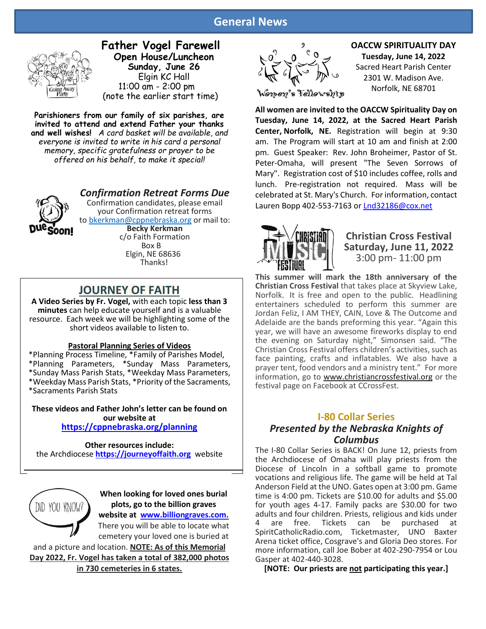#### **General News**



**Father Vogel Farewell Open House/Luncheon Sunday, June 26** Elgin KC Hall 11:00 am - 2:00 pm (note the earlier start time)

**Parishioners from our family of six parishes, are invited to attend and extend Father your thanks and well wishes!** *A card basket will be available, and everyone is invited to write in his card a personal memory, specific gratefulness or prayer to be offered on his behalf, to make it special!*



*Confirmation Retreat Forms Due* Confirmation candidates, please email your Confirmation retreat forms to [bkerkman@cppnebraska.org](mailto:bkerkman@cppnebraska.org) or mail to: **Becky Kerkman** c/o Faith Formation

 Box B Elgin, NE 68636 Thanks!

#### **JOURNEY OF FAITH**

**A Video Series by Fr. Vogel,** with each topic **less than 3 minutes** can help educate yourself and is a valuable resource. Each week we will be highlighting some of the short videos available to listen to.

#### **Pastoral Planning Series of Videos**

\*Planning Process Timeline, \*Family of Parishes Model, \*Planning Parameters, \*Sunday Mass Parameters, \*Sunday Mass Parish Stats, \*Weekday Mass Parameters, \*Weekday Mass Parish Stats, \*Priority of the Sacraments, \*Sacraments Parish Stats

**These videos and Father John's letter can be found on our website at <https://cppnebraska.org/planning>**

**Other resources include:** the Archdiocese **[https://journeyoffaith.org](https://journeyoffaith.org/)** website



**When looking for loved ones burial plots, go to the billion graves website at [www.billiongraves.com.](http://www.billiongraves.com/)** There you will be able to locate what

cemetery your loved one is buried at and a picture and location. **NOTE: As of this Memorial** 

**Day 2022, Fr. Vogel has taken a total of 382,000 photos in 730 cemeteries in 6 states.**



#### **OACCW SPIRITUALITY DAY Tuesday, June 14, 2022** Sacred Heart Parish Center 2301 W. Madison Ave.

Norfolk, NE 68701

**All women are invited to the OACCW Spirituality Day on Tuesday, June 14, 2022, at the Sacred Heart Parish Center, Norfolk, NE.** Registration will begin at 9:30 am. The Program will start at 10 am and finish at 2:00 pm. Guest Speaker: Rev. John Broheimer, Pastor of St. Peter-Omaha, will present "The Seven Sorrows of Mary". Registration cost of \$10 includes coffee, rolls and lunch. Pre-registration not required. Mass will be celebrated at St. Mary's Church. For information, contact Lauren Bopp 402-553-7163 or [Lnd32186@cox.net](mailto:Lnd32186@cox.net)



#### **Christian Cross Festival Saturday, June 11, 2022** 3:00 pm- 11:00 pm

**This summer will mark the 18th anniversary of the Christian Cross Festival** that takes place at Skyview Lake, Norfolk. It is free and open to the public. Headlining entertainers scheduled to perform this summer are Jordan Feliz, I AM THEY, CAIN, Love & The Outcome and Adelaide are the bands preforming this year. "Again this year, we will have an awesome fireworks display to end the evening on Saturday night," Simonsen said. "The Christian Cross Festival offers children's activities, such as face painting, crafts and inflatables. We also have a prayer tent, food vendors and a ministry tent." For more information, go to [www.christiancrossfestival.org](http://www.christiancrossfestival.org/) or the festival page on Facebook at CCrossFest.

#### **I-80 Collar Series**

#### *Presented by the Nebraska Knights of Columbus*

The I-80 Collar Series is BACK! On June 12, priests from the Archdiocese of Omaha will play priests from the Diocese of Lincoln in a softball game to promote vocations and religious life. The game will be held at Tal Anderson Field at the UNO. Gates open at 3:00 pm. Game time is 4:00 pm. Tickets are \$10.00 for adults and \$5.00 for youth ages 4-17. Family packs are \$30.00 for two adults and four children. Priests, religious and kids under Tickets can be purchased at SpiritCatholicRadio.com, Ticketmaster, UNO Baxter Arena ticket office, Cosgrave's and Gloria Deo stores. For more information, call Joe Bober at 402-290-7954 or Lou Gasper at 402-440-3028.

**[NOTE: Our priests are not participating this year.]**